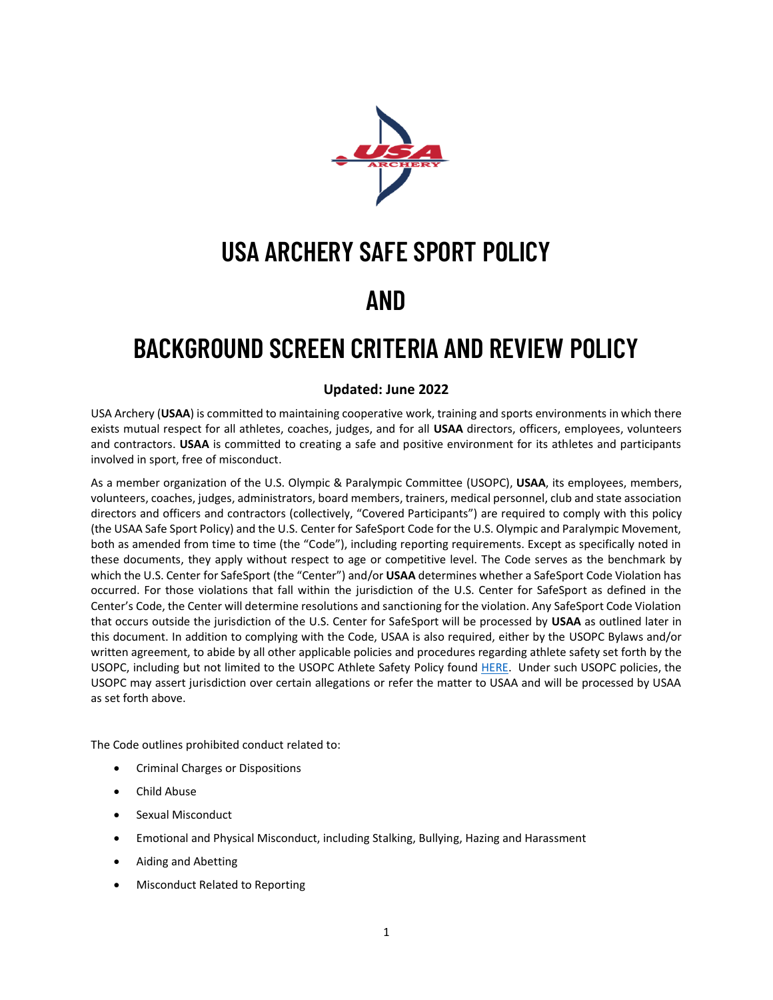

## **USA ARCHERY SAFE SPORT POLICY**

#### **AND**

## **BACKGROUND SCREEN CRITERIA AND REVIEW POLICY**

#### **Updated: June 2022**

USA Archery (**USAA**) is committed to maintaining cooperative work, training and sports environments in which there exists mutual respect for all athletes, coaches, judges, and for all **USAA** directors, officers, employees, volunteers and contractors. **USAA** is committed to creating a safe and positive environment for its athletes and participants involved in sport, free of misconduct.

As a member organization of the U.S. Olympic & Paralympic Committee (USOPC), **USAA**, its employees, members, volunteers, coaches, judges, administrators, board members, trainers, medical personnel, club and state association directors and officers and contractors (collectively, "Covered Participants") are required to comply with this policy (the USAA Safe Sport Policy) and the U.S. Center for SafeSport Code for the U.S. Olympic and Paralympic Movement, both as amended from time to time (the "Code"), including reporting requirements. Except as specifically noted in these documents, they apply without respect to age or competitive level. The Code serves as the benchmark by which the U.S. Center for SafeSport (the "Center") and/or **USAA** determines whether a SafeSport Code Violation has occurred. For those violations that fall within the jurisdiction of the U.S. Center for SafeSport as defined in the Center's Code, the Center will determine resolutions and sanctioning for the violation. Any SafeSport Code Violation that occurs outside the jurisdiction of the U.S. Center for SafeSport will be processed by **USAA** as outlined later in this document. In addition to complying with the Code, USAA is also required, either by the USOPC Bylaws and/or written agreement, to abide by all other applicable policies and procedures regarding athlete safety set forth by the USOPC, including but not limited to the USOPC Athlete Safety Policy found [HERE.](https://www.teamusa.org/team-usa-athlete-services/safe-sport) Under such USOPC policies, the USOPC may assert jurisdiction over certain allegations or refer the matter to USAA and will be processed by USAA as set forth above.

The Code outlines prohibited conduct related to:

- Criminal Charges or Dispositions
- Child Abuse
- Sexual Misconduct
- Emotional and Physical Misconduct, including Stalking, Bullying, Hazing and Harassment
- Aiding and Abetting
- Misconduct Related to Reporting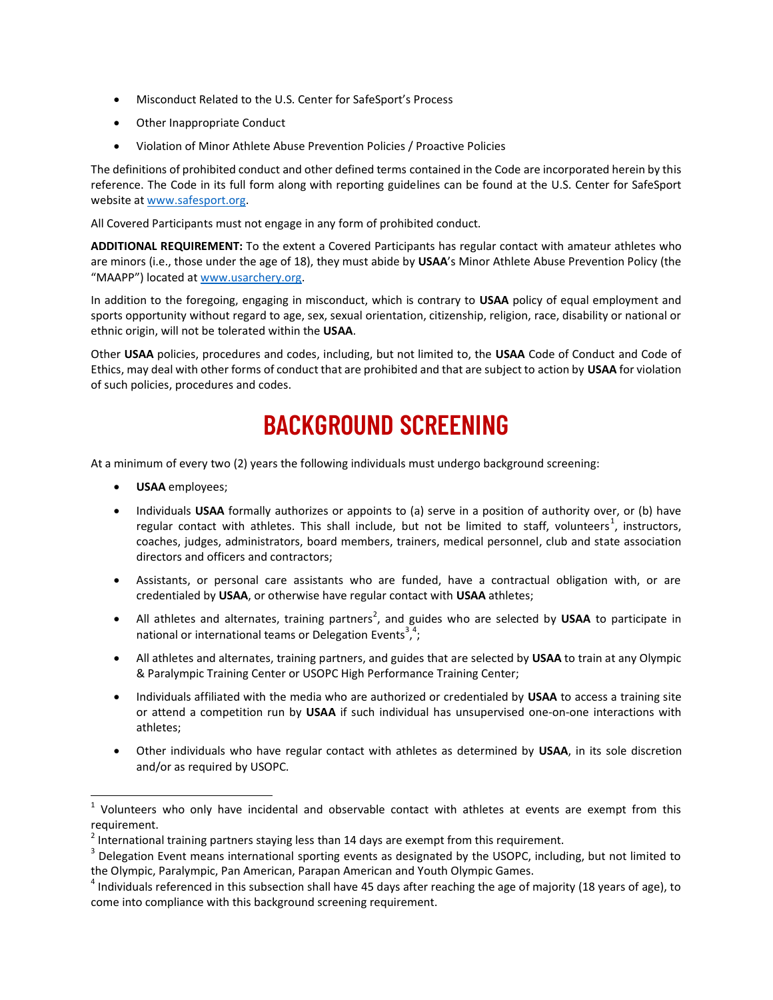- Misconduct Related to the U.S. Center for SafeSport's Process
- Other Inappropriate Conduct
- Violation of Minor Athlete Abuse Prevention Policies / Proactive Policies

The definitions of prohibited conduct and other defined terms contained in the Code are incorporated herein by this reference. The Code in its full form along with reporting guidelines can be found at the U.S. Center for SafeSport website a[t www.safesport.org.](http://www.safesport.org/)

All Covered Participants must not engage in any form of prohibited conduct.

**ADDITIONAL REQUIREMENT:** To the extent a Covered Participants has regular contact with amateur athletes who are minors (i.e., those under the age of 18), they must abide by **USAA**'s Minor Athlete Abuse Prevention Policy (the "MAAPP") located at [www.usarchery.org.](https://www.usarchery.org/about/safesport)

In addition to the foregoing, engaging in misconduct, which is contrary to **USAA** policy of equal employment and sports opportunity without regard to age, sex, sexual orientation, citizenship, religion, race, disability or national or ethnic origin, will not be tolerated within the **USAA**.

Other **USAA** policies, procedures and codes, including, but not limited to, the **USAA** Code of Conduct and Code of Ethics, may deal with other forms of conduct that are prohibited and that are subject to action by **USAA** for violation of such policies, procedures and codes.

## **BACKGROUND SCREENING**

At a minimum of every two (2) years the following individuals must undergo background screening:

- **USAA** employees;
- Individuals **USAA** formally authorizes or appoints to (a) serve in a position of authority over, or (b) have regular contact with athletes. This shall include, but not be limited to staff, volunteers<sup>1</sup>, instructors, coaches, judges, administrators, board members, trainers, medical personnel, club and state association directors and officers and contractors;
- Assistants, or personal care assistants who are funded, have a contractual obligation with, or are credentialed by **USAA**, or otherwise have regular contact with **USAA** athletes;
- All athletes and alternates, training partners<sup>2</sup>, and guides who are selected by USAA to participate in national or international teams or Delegation Events<sup>3,4</sup>;
- All athletes and alternates, training partners, and guides that are selected by **USAA** to train at any Olympic & Paralympic Training Center or USOPC High Performance Training Center;
- Individuals affiliated with the media who are authorized or credentialed by **USAA** to access a training site or attend a competition run by **USAA** if such individual has unsupervised one-on-one interactions with athletes;
- Other individuals who have regular contact with athletes as determined by **USAA**, in its sole discretion and/or as required by USOPC.

<sup>&</sup>lt;sup>1</sup> Volunteers who only have incidental and observable contact with athletes at events are exempt from this requirement.

 $^2$  International training partners staying less than 14 days are exempt from this requirement.

 $3$  Delegation Event means international sporting events as designated by the USOPC, including, but not limited to the Olympic, Paralympic, Pan American, Parapan American and Youth Olympic Games.

 $^4$  Individuals referenced in this subsection shall have 45 days after reaching the age of majority (18 years of age), to come into compliance with this background screening requirement.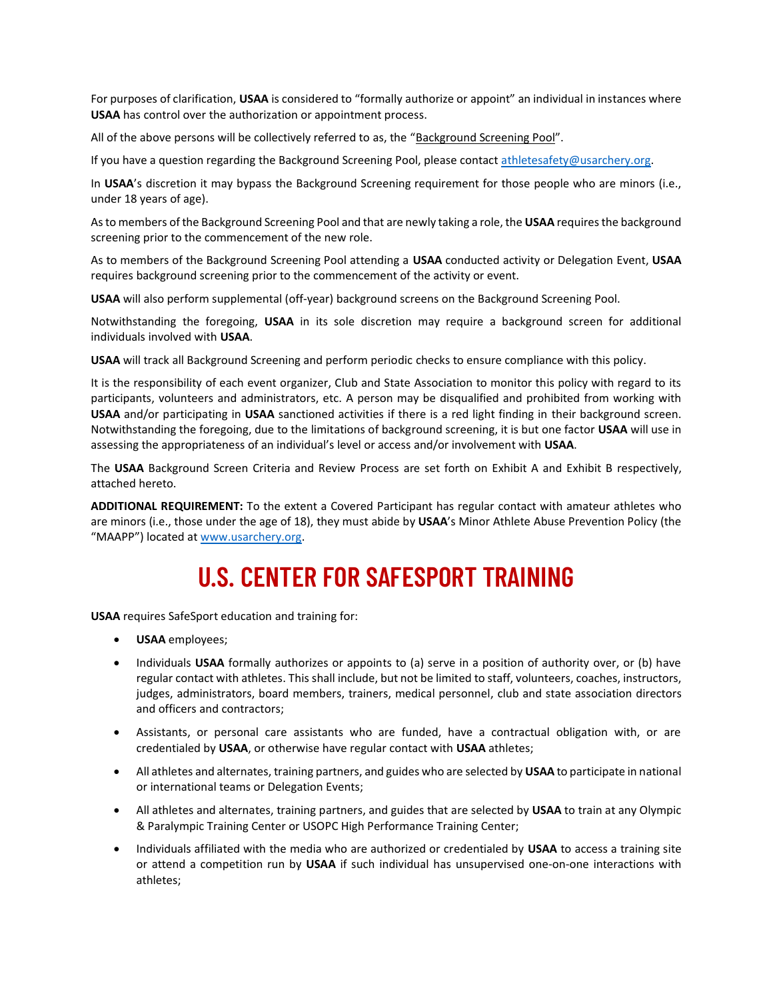For purposes of clarification, **USAA** is considered to "formally authorize or appoint" an individual in instances where **USAA** has control over the authorization or appointment process.

All of the above persons will be collectively referred to as, the "Background Screening Pool".

If you have a question regarding the Background Screening Pool, please contact [athletesafety@usarchery.org.](mailto:athletesafety@usarchery.org)

In **USAA**'s discretion it may bypass the Background Screening requirement for those people who are minors (i.e., under 18 years of age).

As to members of the Background Screening Pool and that are newly taking a role, the **USAA** requires the background screening prior to the commencement of the new role.

As to members of the Background Screening Pool attending a **USAA** conducted activity or Delegation Event, **USAA** requires background screening prior to the commencement of the activity or event.

**USAA** will also perform supplemental (off-year) background screens on the Background Screening Pool.

Notwithstanding the foregoing, **USAA** in its sole discretion may require a background screen for additional individuals involved with **USAA**.

**USAA** will track all Background Screening and perform periodic checks to ensure compliance with this policy.

It is the responsibility of each event organizer, Club and State Association to monitor this policy with regard to its participants, volunteers and administrators, etc. A person may be disqualified and prohibited from working with **USAA** and/or participating in **USAA** sanctioned activities if there is a red light finding in their background screen. Notwithstanding the foregoing, due to the limitations of background screening, it is but one factor **USAA** will use in assessing the appropriateness of an individual's level or access and/or involvement with **USAA**.

The **USAA** Background Screen Criteria and Review Process are set forth on Exhibit A and Exhibit B respectively, attached hereto.

**ADDITIONAL REQUIREMENT:** To the extent a Covered Participant has regular contact with amateur athletes who are minors (i.e., those under the age of 18), they must abide by **USAA**'s Minor Athlete Abuse Prevention Policy (the "MAAPP") located at [www.usarchery.org.](https://www.usarchery.org/about/safesport)

## **U.S. CENTER FOR SAFESPORT TRAINING**

**USAA** requires SafeSport education and training for:

- **USAA** employees;
- Individuals **USAA** formally authorizes or appoints to (a) serve in a position of authority over, or (b) have regular contact with athletes. This shall include, but not be limited to staff, volunteers, coaches, instructors, judges, administrators, board members, trainers, medical personnel, club and state association directors and officers and contractors;
- Assistants, or personal care assistants who are funded, have a contractual obligation with, or are credentialed by **USAA**, or otherwise have regular contact with **USAA** athletes;
- All athletes and alternates, training partners, and guides who are selected by **USAA** to participate in national or international teams or Delegation Events;
- All athletes and alternates, training partners, and guides that are selected by **USAA** to train at any Olympic & Paralympic Training Center or USOPC High Performance Training Center;
- Individuals affiliated with the media who are authorized or credentialed by **USAA** to access a training site or attend a competition run by **USAA** if such individual has unsupervised one-on-one interactions with athletes;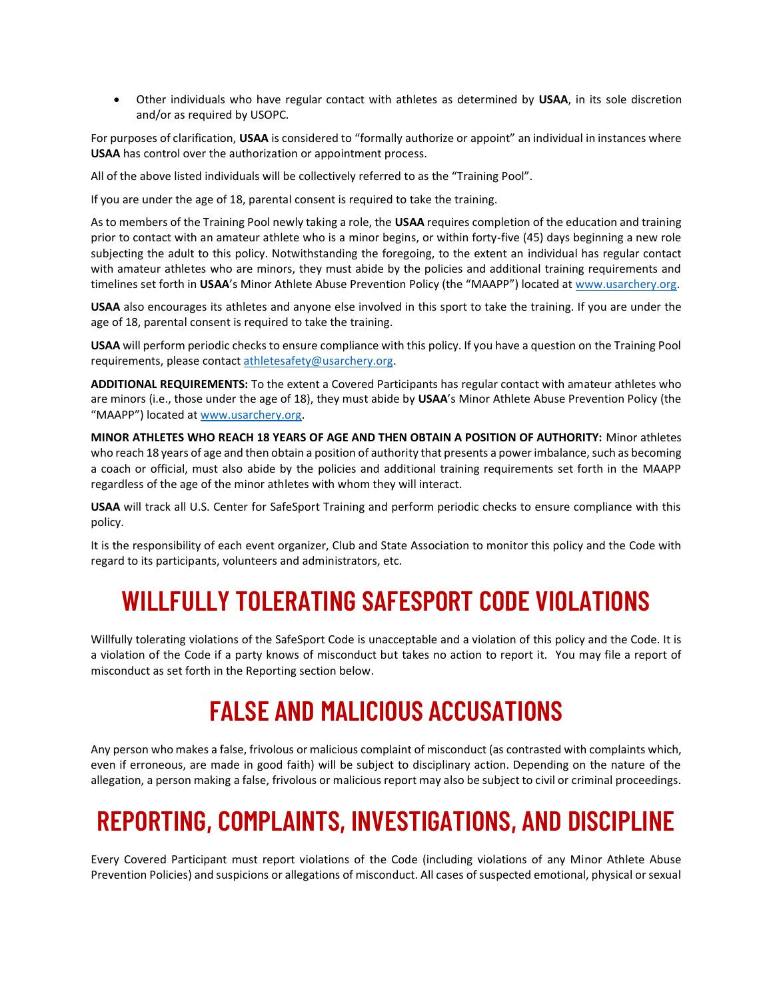• Other individuals who have regular contact with athletes as determined by **USAA**, in its sole discretion and/or as required by USOPC.

For purposes of clarification, **USAA** is considered to "formally authorize or appoint" an individual in instances where **USAA** has control over the authorization or appointment process.

All of the above listed individuals will be collectively referred to as the "Training Pool".

If you are under the age of 18, parental consent is required to take the training.

As to members of the Training Pool newly taking a role, the **USAA** requires completion of the education and training prior to contact with an amateur athlete who is a minor begins, or within forty-five (45) days beginning a new role subjecting the adult to this policy. Notwithstanding the foregoing, to the extent an individual has regular contact with amateur athletes who are minors, they must abide by the policies and additional training requirements and timelines set forth in **USAA**'s Minor Athlete Abuse Prevention Policy (the "MAAPP") located at [www.usarchery.org.](https://www.usarchery.org/about/safesport)

**USAA** also encourages its athletes and anyone else involved in this sport to take the training. If you are under the age of 18, parental consent is required to take the training.

**USAA** will perform periodic checks to ensure compliance with this policy. If you have a question on the Training Pool requirements, please contact [athletesafety@usarchery.org.](mailto:athletesafety@usarchery.org)

**ADDITIONAL REQUIREMENTS:** To the extent a Covered Participants has regular contact with amateur athletes who are minors (i.e., those under the age of 18), they must abide by **USAA**'s Minor Athlete Abuse Prevention Policy (the "MAAPP") located at [www.usarchery.org.](https://www.usarchery.org/about/safesport)

**MINOR ATHLETES WHO REACH 18 YEARS OF AGE AND THEN OBTAIN A POSITION OF AUTHORITY:** Minor athletes who reach 18 years of age and then obtain a position of authority that presents a power imbalance, such as becoming a coach or official, must also abide by the policies and additional training requirements set forth in the MAAPP regardless of the age of the minor athletes with whom they will interact.

**USAA** will track all U.S. Center for SafeSport Training and perform periodic checks to ensure compliance with this policy.

It is the responsibility of each event organizer, Club and State Association to monitor this policy and the Code with regard to its participants, volunteers and administrators, etc.

### **WILLFULLY TOLERATING SAFESPORT CODE VIOLATIONS**

Willfully tolerating violations of the SafeSport Code is unacceptable and a violation of this policy and the Code. It is a violation of the Code if a party knows of misconduct but takes no action to report it. You may file a report of misconduct as set forth in the Reporting section below.

## **FALSE AND MALICIOUS ACCUSATIONS**

Any person who makes a false, frivolous or malicious complaint of misconduct (as contrasted with complaints which, even if erroneous, are made in good faith) will be subject to disciplinary action. Depending on the nature of the allegation, a person making a false, frivolous or malicious report may also be subject to civil or criminal proceedings.

## **REPORTING, COMPLAINTS, INVESTIGATIONS, AND DISCIPLINE**

Every Covered Participant must report violations of the Code (including violations of any Minor Athlete Abuse Prevention Policies) and suspicions or allegations of misconduct. All cases of suspected emotional, physical or sexual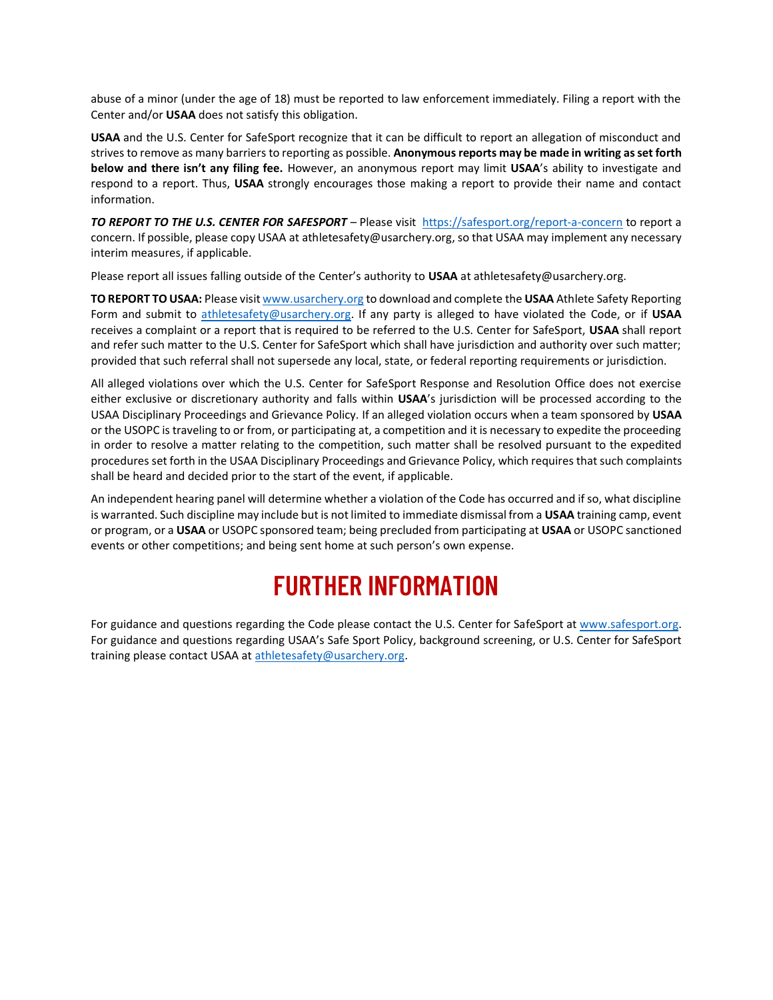abuse of a minor (under the age of 18) must be reported to law enforcement immediately. Filing a report with the Center and/or **USAA** does not satisfy this obligation.

**USAA** and the U.S. Center for SafeSport recognize that it can be difficult to report an allegation of misconduct and strives to remove as many barriers to reporting as possible. **Anonymous reports may be made in writing as set forth below and there isn't any filing fee.** However, an anonymous report may limit **USAA**'s ability to investigate and respond to a report. Thus, **USAA** strongly encourages those making a report to provide their name and contact information.

*TO REPORT TO THE U.S. CENTER FOR SAFESPORT* – Please visit <https://safesport.org/report-a-concern> to report a concern. If possible, please copy USAA at athletesafety@usarchery.org, so that USAA may implement any necessary interim measures, if applicable.

Please report all issues falling outside of the Center's authority to **USAA** at athletesafety@usarchery.org.

**TO REPORT TO USAA:** Please visi[t www.usarchery.org](https://www.usarchery.org/about/safesport) to download and complete the **USAA** Athlete Safety Reporting Form and submit to [athletesafety@usarchery.org.](mailto:athletesafety@usarchery.org) If any party is alleged to have violated the Code, or if **USAA** receives a complaint or a report that is required to be referred to the U.S. Center for SafeSport, **USAA** shall report and refer such matter to the U.S. Center for SafeSport which shall have jurisdiction and authority over such matter; provided that such referral shall not supersede any local, state, or federal reporting requirements or jurisdiction.

All alleged violations over which the U.S. Center for SafeSport Response and Resolution Office does not exercise either exclusive or discretionary authority and falls within **USAA**'s jurisdiction will be processed according to the USAA Disciplinary Proceedings and Grievance Policy. If an alleged violation occurs when a team sponsored by **USAA** or the USOPC is traveling to or from, or participating at, a competition and it is necessary to expedite the proceeding in order to resolve a matter relating to the competition, such matter shall be resolved pursuant to the expedited procedures set forth in the USAA Disciplinary Proceedings and Grievance Policy, which requires that such complaints shall be heard and decided prior to the start of the event, if applicable.

An independent hearing panel will determine whether a violation of the Code has occurred and if so, what discipline is warranted. Such discipline may include but is not limited to immediate dismissal from a **USAA** training camp, event or program, or a **USAA** or USOPC sponsored team; being precluded from participating at **USAA** or USOPC sanctioned events or other competitions; and being sent home at such person's own expense.

# **FURTHER INFORMATION**

For guidance and questions regarding the Code please contact the U.S. Center for SafeSport a[t www.safesport.org.](http://www.safesport.org/) For guidance and questions regarding USAA's Safe Sport Policy, background screening, or U.S. Center for SafeSport training please contact USAA at [athletesafety@usarchery.org.](mailto:athletesafety@usarchery.org)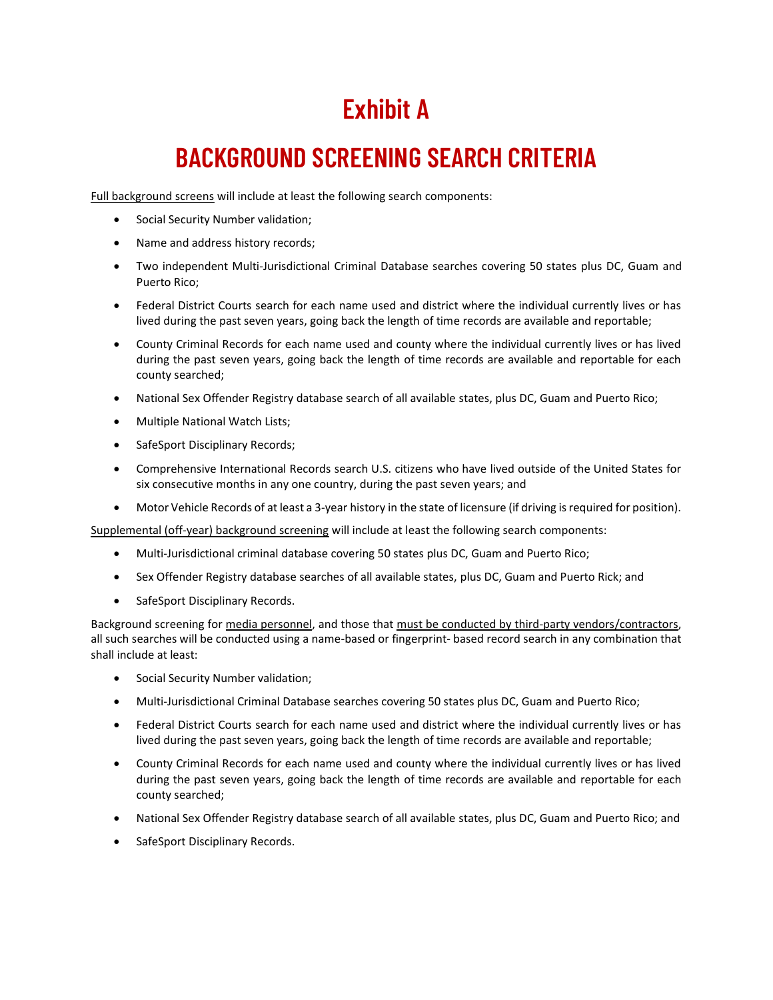# **Exhibit A**

# **BACKGROUND SCREENING SEARCH CRITERIA**

Full background screens will include at least the following search components:

- Social Security Number validation;
- Name and address history records;
- Two independent Multi-Jurisdictional Criminal Database searches covering 50 states plus DC, Guam and Puerto Rico;
- Federal District Courts search for each name used and district where the individual currently lives or has lived during the past seven years, going back the length of time records are available and reportable;
- County Criminal Records for each name used and county where the individual currently lives or has lived during the past seven years, going back the length of time records are available and reportable for each county searched;
- National Sex Offender Registry database search of all available states, plus DC, Guam and Puerto Rico;
- Multiple National Watch Lists;
- SafeSport Disciplinary Records;
- Comprehensive International Records search U.S. citizens who have lived outside of the United States for six consecutive months in any one country, during the past seven years; and
- Motor Vehicle Records of at least a 3-year history in the state of licensure (if driving is required for position).

Supplemental (off-year) background screening will include at least the following search components:

- Multi-Jurisdictional criminal database covering 50 states plus DC, Guam and Puerto Rico;
- Sex Offender Registry database searches of all available states, plus DC, Guam and Puerto Rick; and
- SafeSport Disciplinary Records.

Background screening for media personnel, and those that must be conducted by third-party vendors/contractors, all such searches will be conducted using a name-based or fingerprint- based record search in any combination that shall include at least:

- Social Security Number validation;
- Multi-Jurisdictional Criminal Database searches covering 50 states plus DC, Guam and Puerto Rico;
- Federal District Courts search for each name used and district where the individual currently lives or has lived during the past seven years, going back the length of time records are available and reportable;
- County Criminal Records for each name used and county where the individual currently lives or has lived during the past seven years, going back the length of time records are available and reportable for each county searched;
- National Sex Offender Registry database search of all available states, plus DC, Guam and Puerto Rico; and
- SafeSport Disciplinary Records.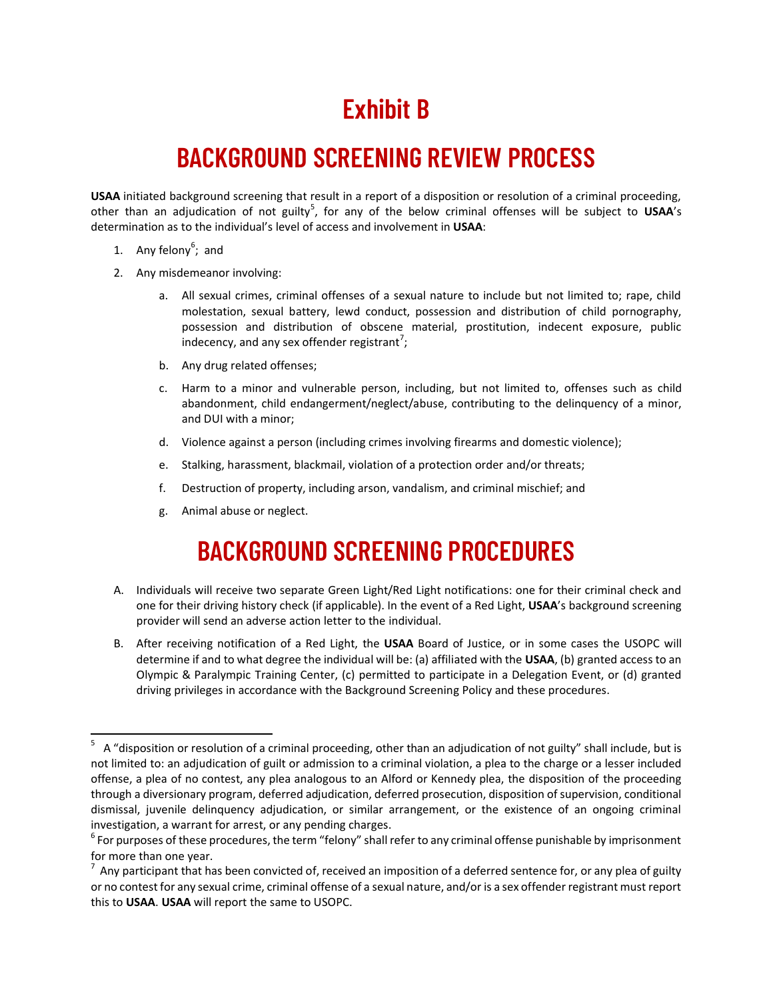# **Exhibit B**

## **BACKGROUND SCREENING REVIEW PROCESS**

**USAA** initiated background screening that result in a report of a disposition or resolution of a criminal proceeding, other than an adjudication of not guilty<sup>5</sup>, for any of the below criminal offenses will be subject to USAA's determination as to the individual's level of access and involvement in **USAA**:

- 1. Any felony<sup>6</sup>; and
- 2. Any misdemeanor involving:
	- a. All sexual crimes, criminal offenses of a sexual nature to include but not limited to; rape, child molestation, sexual battery, lewd conduct, possession and distribution of child pornography, possession and distribution of obscene material, prostitution, indecent exposure, public indecency, and any sex offender registrant<sup>7</sup>;
	- b. Any drug related offenses;
	- c. Harm to a minor and vulnerable person, including, but not limited to, offenses such as child abandonment, child endangerment/neglect/abuse, contributing to the delinquency of a minor, and DUI with a minor;
	- d. Violence against a person (including crimes involving firearms and domestic violence);
	- e. Stalking, harassment, blackmail, violation of a protection order and/or threats;
	- f. Destruction of property, including arson, vandalism, and criminal mischief; and
	- g. Animal abuse or neglect.

## **BACKGROUND SCREENING PROCEDURES**

- A. Individuals will receive two separate Green Light/Red Light notifications: one for their criminal check and one for their driving history check (if applicable). In the event of a Red Light, **USAA**'s background screening provider will send an adverse action letter to the individual.
- B. After receiving notification of a Red Light, the **USAA** Board of Justice, or in some cases the USOPC will determine if and to what degree the individual will be: (a) affiliated with the **USAA**, (b) granted access to an Olympic & Paralympic Training Center, (c) permitted to participate in a Delegation Event, or (d) granted driving privileges in accordance with the Background Screening Policy and these procedures.

<sup>5</sup> A "disposition or resolution of a criminal proceeding, other than an adjudication of not guilty" shall include, but is not limited to: an adjudication of guilt or admission to a criminal violation, a plea to the charge or a lesser included offense, a plea of no contest, any plea analogous to an Alford or Kennedy plea, the disposition of the proceeding through a diversionary program, deferred adjudication, deferred prosecution, disposition of supervision, conditional dismissal, juvenile delinquency adjudication, or similar arrangement, or the existence of an ongoing criminal investigation, a warrant for arrest, or any pending charges.

 $^6$  For purposes of these procedures, the term "felony" shall refer to any criminal offense punishable by imprisonment for more than one year.

 $^7$  Any participant that has been convicted of, received an imposition of a deferred sentence for, or any plea of guilty or no contest for any sexual crime, criminal offense of a sexual nature, and/or is a sex offender registrant must report this to **USAA**. **USAA** will report the same to USOPC.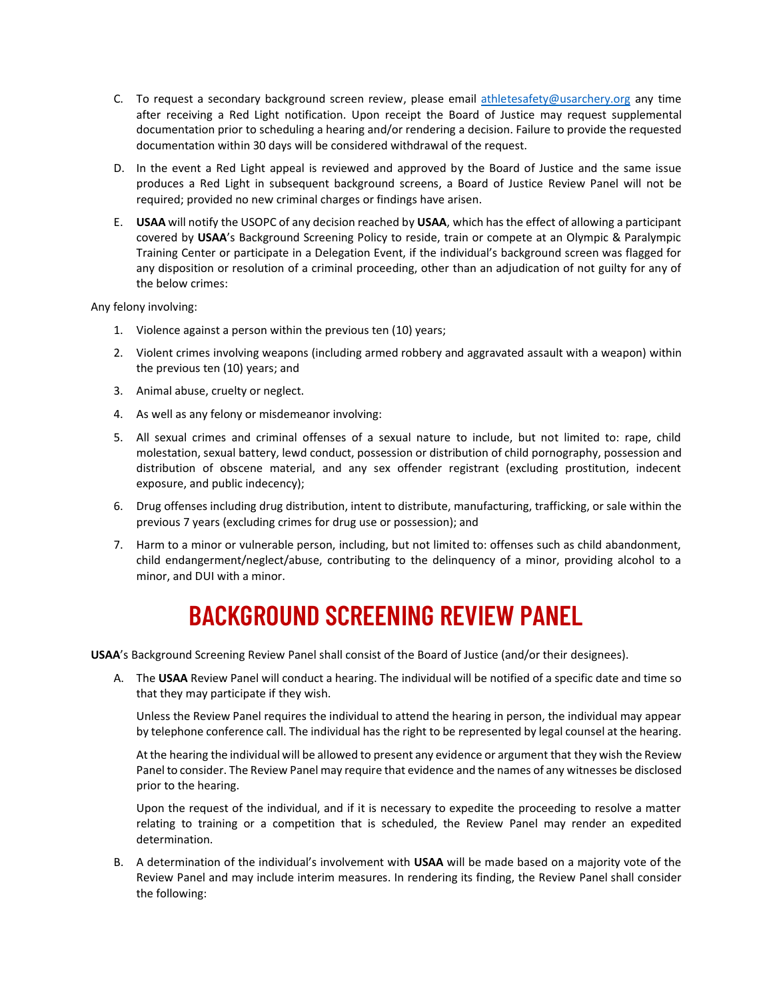- C. To request a secondary background screen review, please email [athletesafety@usarchery.org](mailto:athletesafety@usarchery.org) any time after receiving a Red Light notification. Upon receipt the Board of Justice may request supplemental documentation prior to scheduling a hearing and/or rendering a decision. Failure to provide the requested documentation within 30 days will be considered withdrawal of the request.
- D. In the event a Red Light appeal is reviewed and approved by the Board of Justice and the same issue produces a Red Light in subsequent background screens, a Board of Justice Review Panel will not be required; provided no new criminal charges or findings have arisen.
- E. **USAA** will notify the USOPC of any decision reached by **USAA**, which has the effect of allowing a participant covered by **USAA**'s Background Screening Policy to reside, train or compete at an Olympic & Paralympic Training Center or participate in a Delegation Event, if the individual's background screen was flagged for any disposition or resolution of a criminal proceeding, other than an adjudication of not guilty for any of the below crimes:

Any felony involving:

- 1. Violence against a person within the previous ten (10) years;
- 2. Violent crimes involving weapons (including armed robbery and aggravated assault with a weapon) within the previous ten (10) years; and
- 3. Animal abuse, cruelty or neglect.
- 4. As well as any felony or misdemeanor involving:
- 5. All sexual crimes and criminal offenses of a sexual nature to include, but not limited to: rape, child molestation, sexual battery, lewd conduct, possession or distribution of child pornography, possession and distribution of obscene material, and any sex offender registrant (excluding prostitution, indecent exposure, and public indecency);
- 6. Drug offenses including drug distribution, intent to distribute, manufacturing, trafficking, or sale within the previous 7 years (excluding crimes for drug use or possession); and
- 7. Harm to a minor or vulnerable person, including, but not limited to: offenses such as child abandonment, child endangerment/neglect/abuse, contributing to the delinquency of a minor, providing alcohol to a minor, and DUI with a minor.

## **BACKGROUND SCREENING REVIEW PANEL**

**USAA**'s Background Screening Review Panel shall consist of the Board of Justice (and/or their designees).

A. The **USAA** Review Panel will conduct a hearing. The individual will be notified of a specific date and time so that they may participate if they wish.

Unless the Review Panel requires the individual to attend the hearing in person, the individual may appear by telephone conference call. The individual has the right to be represented by legal counsel at the hearing.

At the hearing the individual will be allowed to present any evidence or argument that they wish the Review Panel to consider. The Review Panel may require that evidence and the names of any witnesses be disclosed prior to the hearing.

Upon the request of the individual, and if it is necessary to expedite the proceeding to resolve a matter relating to training or a competition that is scheduled, the Review Panel may render an expedited determination.

B. A determination of the individual's involvement with **USAA** will be made based on a majority vote of the Review Panel and may include interim measures. In rendering its finding, the Review Panel shall consider the following: